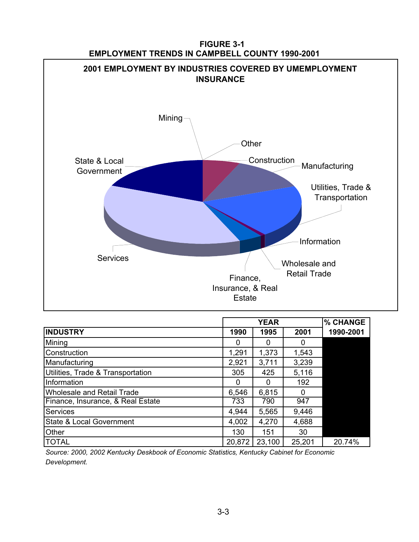**EMPLOYMENT TRENDS IN CAMPBELL COUNTY 1990-2001 FIGURE 3-1**



|                                     |        | <b>YEAR</b> |        | <b>% CHANGE</b> |
|-------------------------------------|--------|-------------|--------|-----------------|
| <b>INDUSTRY</b>                     | 1990   | 1995        | 2001   | 1990-2001       |
| Mining                              | 0      |             |        |                 |
| Construction                        | 1,291  | 1,373       | 1,543  |                 |
| Manufacturing                       | 2,921  | 3,711       | 3,239  |                 |
| Utilities, Trade & Transportation   | 305    | 425         | 5,116  |                 |
| Information                         | 0      | 0           | 192    |                 |
| <b>Wholesale and Retail Trade</b>   | 6,546  | 6,815       | 0      |                 |
| Finance, Insurance, & Real Estate   | 733    | 790         | 947    |                 |
| <b>Services</b>                     | 4,944  | 5,565       | 9,446  |                 |
| <b>State &amp; Local Government</b> | 4,002  | 4,270       | 4,688  |                 |
| <b>Other</b>                        | 130    | 151         | 30     |                 |
| <b>TOTAL</b>                        | 20,872 | 23,100      | 25,201 | 20.74%          |

*Source: 2000, 2002 Kentucky Deskbook of Economic Statistics, Kentucky Cabinet for Economic Development.*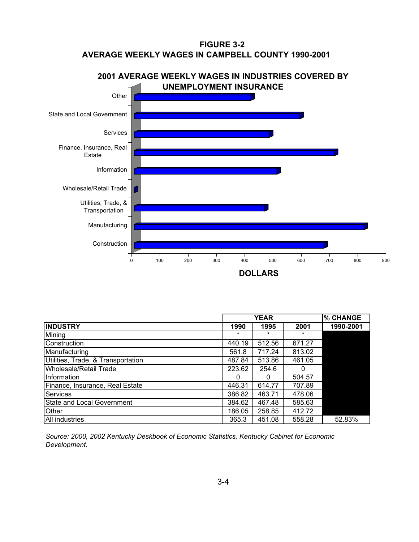



|                                    |        | <b>YEAR</b> |         | % CHANGE  |
|------------------------------------|--------|-------------|---------|-----------|
| <b>INDUSTRY</b>                    | 1990   | 1995        | 2001    | 1990-2001 |
| Mining                             | $\ast$ | $\star$     | $\star$ |           |
| Construction                       | 440.19 | 512.56      | 671.27  |           |
| Manufacturing                      | 561.8  | 717.24      | 813.02  |           |
| Utilities, Trade, & Transportation | 487.84 | 513.86      | 461.05  |           |
| <b>Wholesale/Retail Trade</b>      | 223.62 | 254.6       |         |           |
| Information                        | 0      | 0           | 504.57  |           |
| Finance, Insurance, Real Estate    | 446.31 | 614.77      | 707.89  |           |
| <b>Services</b>                    | 386.82 | 463.71      | 478.06  |           |
| <b>State and Local Government</b>  | 384.62 | 467.48      | 585.63  |           |
| Other                              | 186.05 | 258.85      | 412.72  |           |
| <b>All industries</b>              | 365.3  | 451.08      | 558.28  | 52.83%    |

*Source: 2000, 2002 Kentucky Deskbook of Economic Statistics, Kentucky Cabinet for Economic Development.*